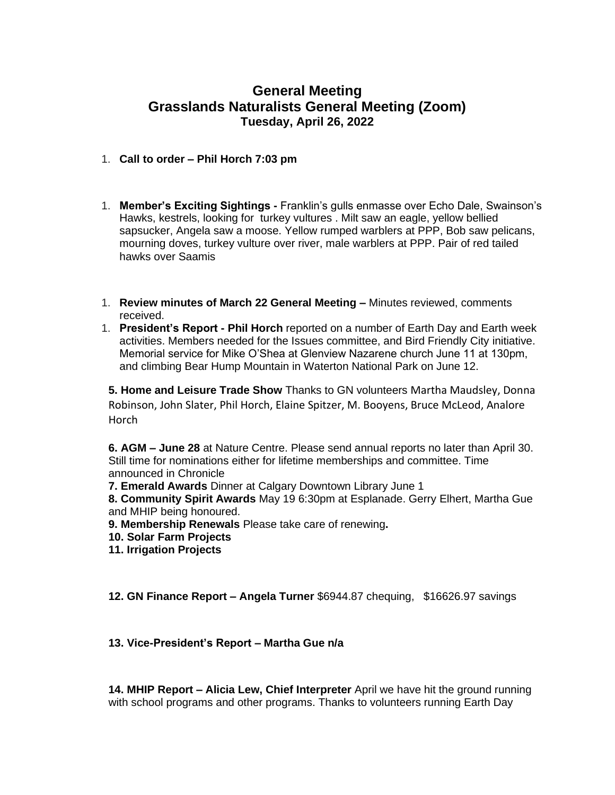## **General Meeting Grasslands Naturalists General Meeting (Zoom) Tuesday, April 26, 2022**

## 1. **Call to order – Phil Horch 7:03 pm**

- 1. **Member's Exciting Sightings -** Franklin's gulls enmasse over Echo Dale, Swainson's Hawks, kestrels, looking for turkey vultures . Milt saw an eagle, yellow bellied sapsucker, Angela saw a moose. Yellow rumped warblers at PPP, Bob saw pelicans, mourning doves, turkey vulture over river, male warblers at PPP. Pair of red tailed hawks over Saamis
- 1. **Review minutes of March 22 General Meeting –** Minutes reviewed, comments received.
- 1. **President's Report - Phil Horch** reported on a number of Earth Day and Earth week activities. Members needed for the Issues committee, and Bird Friendly City initiative. Memorial service for Mike O'Shea at Glenview Nazarene church June 11 at 130pm, and climbing Bear Hump Mountain in Waterton National Park on June 12.

**5. Home and Leisure Trade Show** Thanks to GN volunteers Martha Maudsley, Donna Robinson, John Slater, Phil Horch, Elaine Spitzer, M. Booyens, Bruce McLeod, Analore Horch

**6. AGM – June 28** at Nature Centre. Please send annual reports no later than April 30. Still time for nominations either for lifetime memberships and committee. Time announced in Chronicle

**7. Emerald Awards** Dinner at Calgary Downtown Library June 1

**8. Community Spirit Awards** May 19 6:30pm at Esplanade. Gerry Elhert, Martha Gue and MHIP being honoured.

- **9. Membership Renewals** Please take care of renewing**.**
- **10. Solar Farm Projects**
- **11. Irrigation Projects**

**12. GN Finance Report – Angela Turner** \$6944.87 chequing, \$16626.97 savings

## **13. Vice-President's Report – Martha Gue n/a**

**14. MHIP Report – Alicia Lew, Chief Interpreter** April we have hit the ground running with school programs and other programs. Thanks to volunteers running Earth Day